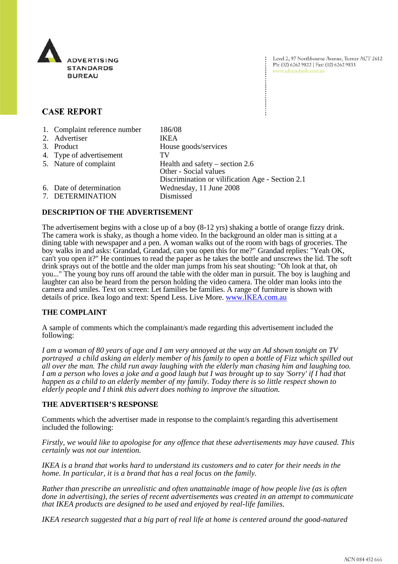

Level 2, 97 Northbourne Avenue, Turner ACT 2612 Ph: (02) 6262 9822 | Fax: (02) 6262 9833 www.adstandards.com.au

# **CASE REPORT**

| 1. Complaint reference number<br>2. Advertiser | 186/08<br><b>IKEA</b>                                      |
|------------------------------------------------|------------------------------------------------------------|
| 3. Product                                     | House goods/services                                       |
| 4. Type of advertisement                       | TV                                                         |
| 5. Nature of complaint                         | Health and safety – section $2.6$<br>Other - Social values |
|                                                | Discrimination or vilification Age - Section 2.1           |
| 6. Date of determination                       | Wednesday, 11 June 2008                                    |
| 7. DETERMINATION                               | Dismissed                                                  |

## **DESCRIPTION OF THE ADVERTISEMENT**

The advertisement begins with a close up of a boy (8-12 yrs) shaking a bottle of orange fizzy drink. The camera work is shaky, as though a home video. In the background an older man is sitting at a dining table with newspaper and a pen. A woman walks out of the room with bags of groceries. The boy walks in and asks: Grandad, Grandad, can you open this for me?" Grandad replies: "Yeah OK, can't you open it?" He continues to read the paper as he takes the bottle and unscrews the lid. The soft drink sprays out of the bottle and the older man jumps from his seat shouting: "Oh look at that, oh you..." The young boy runs off around the table with the older man in pursuit. The boy is laughing and laughter can also be heard from the person holding the video camera. The older man looks into the camera and smiles. Text on screen: Let families be families. A range of furniture is shown with details of price. Ikea logo and text: Spend Less. Live More. www.IKEA.com.au

## **THE COMPLAINT**

A sample of comments which the complainant/s made regarding this advertisement included the following:

*I am a woman of 80 years of age and I am very annoyed at the way an Ad shown tonight on TV portrayed a child asking an elderly member of his family to open a bottle of Fizz which spilled out all over the man. The child run away laughing with the elderly man chasing him and laughing too. I am a person who loves a joke and a good laugh but I was brought up to say 'Sorry' if I had that happen as a child to an elderly member of my family. Today there is so little respect shown to elderly people and I think this advert does nothing to improve the situation.*

#### **THE ADVERTISER'S RESPONSE**

Comments which the advertiser made in response to the complaint/s regarding this advertisement included the following:

*Firstly, we would like to apologise for any offence that these advertisements may have caused. This certainly was not our intention.*

*IKEA is a brand that works hard to understand its customers and to cater for their needs in the home. In particular, it is a brand that has a real focus on the family.* 

*Rather than prescribe an unrealistic and often unattainable image of how people live (as is often done in advertising), the series of recent advertisements was created in an attempt to communicate that IKEA products are designed to be used and enjoyed by real-life families.* 

*IKEA research suggested that a big part of real life at home is centered around the good-natured*